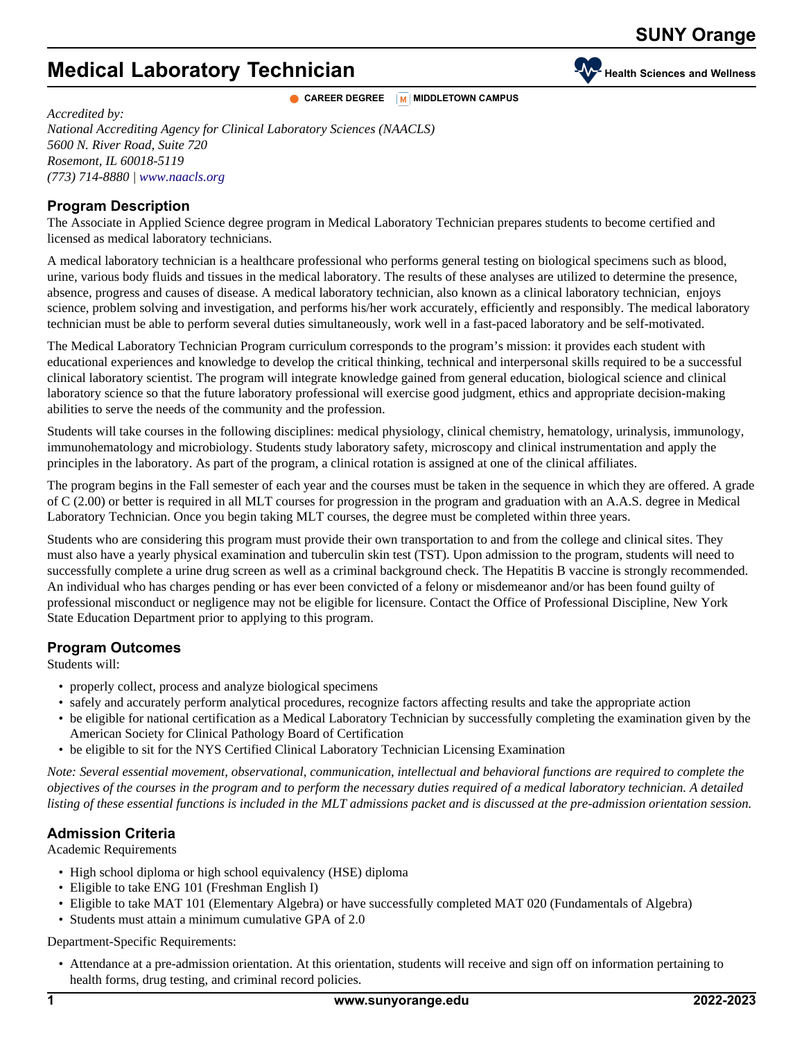# **Medical Laboratory Technician Health Medical Laboratory Technician**

**CAREER DEGREE M MIDDLETOWN** CAMPUS

*Accredited by: National Accrediting Agency for Clinical Laboratory Sciences (NAACLS) 5600 N. River Road, Suite 720 Rosemont, IL 60018-5119 (773) 714-8880 | [www.naacls.org](http://www.naacls.org)*

#### **Program Description**

The Associate in Applied Science degree program in Medical Laboratory Technician prepares students to become certified and licensed as medical laboratory technicians.

A medical laboratory technician is a healthcare professional who performs general testing on biological specimens such as blood, urine, various body fluids and tissues in the medical laboratory. The results of these analyses are utilized to determine the presence, absence, progress and causes of disease. A medical laboratory technician, also known as a clinical laboratory technician, enjoys science, problem solving and investigation, and performs his/her work accurately, efficiently and responsibly. The medical laboratory technician must be able to perform several duties simultaneously, work well in a fast-paced laboratory and be self-motivated.

The Medical Laboratory Technician Program curriculum corresponds to the program's mission: it provides each student with educational experiences and knowledge to develop the critical thinking, technical and interpersonal skills required to be a successful clinical laboratory scientist. The program will integrate knowledge gained from general education, biological science and clinical laboratory science so that the future laboratory professional will exercise good judgment, ethics and appropriate decision-making abilities to serve the needs of the community and the profession.

Students will take courses in the following disciplines: medical physiology, clinical chemistry, hematology, urinalysis, immunology, immunohematology and microbiology. Students study laboratory safety, microscopy and clinical instrumentation and apply the principles in the laboratory. As part of the program, a clinical rotation is assigned at one of the clinical affiliates.

The program begins in the Fall semester of each year and the courses must be taken in the sequence in which they are offered. A grade of C (2.00) or better is required in all MLT courses for progression in the program and graduation with an A.A.S. degree in Medical Laboratory Technician. Once you begin taking MLT courses, the degree must be completed within three years.

Students who are considering this program must provide their own transportation to and from the college and clinical sites. They must also have a yearly physical examination and tuberculin skin test (TST). Upon admission to the program, students will need to successfully complete a urine drug screen as well as a criminal background check. The Hepatitis B vaccine is strongly recommended. An individual who has charges pending or has ever been convicted of a felony or misdemeanor and/or has been found guilty of professional misconduct or negligence may not be eligible for licensure. Contact the Office of Professional Discipline, New York State Education Department prior to applying to this program.

#### **Program Outcomes**

Students will:

- properly collect, process and analyze biological specimens
- safely and accurately perform analytical procedures, recognize factors affecting results and take the appropriate action
- be eligible for national certification as a Medical Laboratory Technician by successfully completing the examination given by the American Society for Clinical Pathology Board of Certification
- be eligible to sit for the NYS Certified Clinical Laboratory Technician Licensing Examination

*Note: Several essential movement, observational, communication, intellectual and behavioral functions are required to complete the objectives of the courses in the program and to perform the necessary duties required of a medical laboratory technician. A detailed listing of these essential functions is included in the MLT admissions packet and is discussed at the pre-admission orientation session.*

## **Admission Criteria**

Academic Requirements

- High school diploma or high school equivalency (HSE) diploma
- Eligible to take ENG 101 (Freshman English I)
- Eligible to take MAT 101 (Elementary Algebra) or have successfully completed MAT 020 (Fundamentals of Algebra)
- Students must attain a minimum cumulative GPA of 2.0

Department-Specific Requirements:

• Attendance at a pre-admission orientation. At this orientation, students will receive and sign off on information pertaining to health forms, drug testing, and criminal record policies.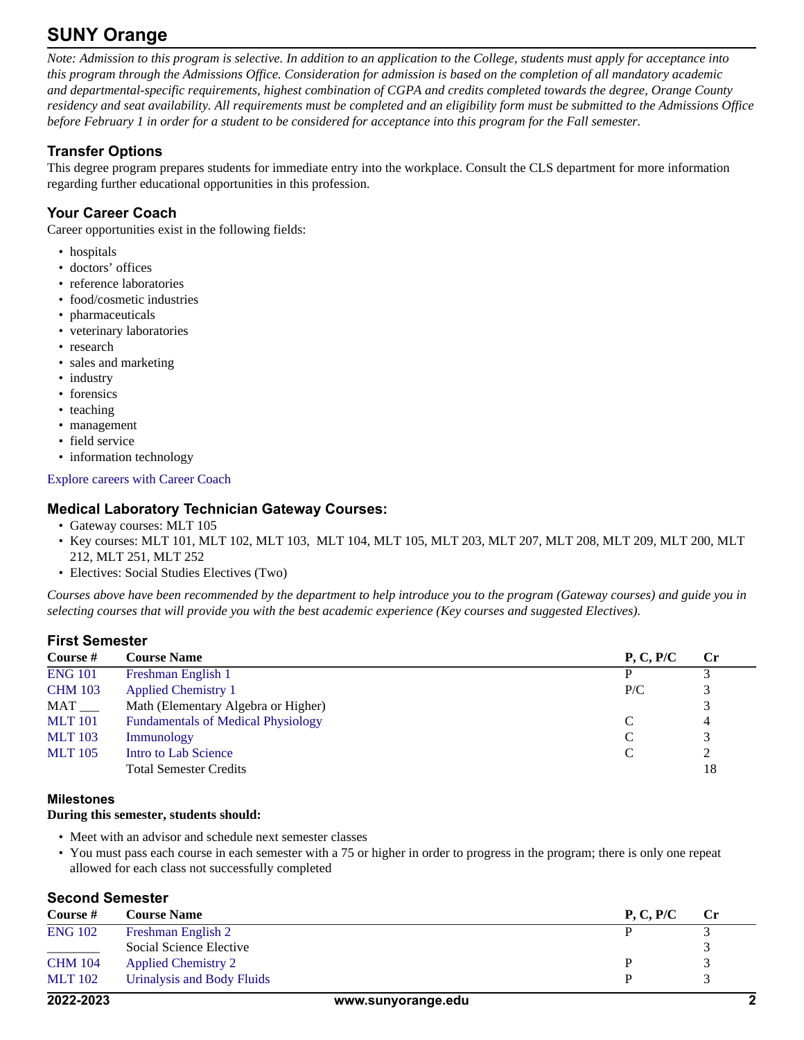## **SUNY Orange**

*Note: Admission to this program is selective. In addition to an application to the College, students must apply for acceptance into this program through the Admissions Office. Consideration for admission is based on the completion of all mandatory academic and departmental-specific requirements, highest combination of CGPA and credits completed towards the degree, Orange County residency and seat availability. All requirements must be completed and an eligibility form must be submitted to the Admissions Office before February 1 in order for a student to be considered for acceptance into this program for the Fall semester.*

## **Transfer Options**

This degree program prepares students for immediate entry into the workplace. Consult the CLS department for more information regarding further educational opportunities in this profession.

## **Your Career Coach**

Career opportunities exist in the following fields:

- hospitals
- doctors' offices
- reference laboratories
- food/cosmetic industries
- pharmaceuticals
- veterinary laboratories
- research
- sales and marketing
- industry
- forensics
- teaching
- management
- field service
- information technology

[Explore careers with Career Coach](https://sunyorange.emsicc.com/?radius=®ion=Orange%20County%2C%20NY)

#### **Medical Laboratory Technician Gateway Courses:**

- Gateway courses: MLT 105
- Key courses: MLT 101, MLT 102, MLT 103, MLT 104, MLT 105, MLT 203, MLT 207, MLT 208, MLT 209, MLT 200, MLT 212, MLT 251, MLT 252
- Electives: Social Studies Electives (Two)

*Courses above have been recommended by the department to help introduce you to the program (Gateway courses) and guide you in selecting courses that will provide you with the best academic experience (Key courses and suggested Electives).*

## **First Semester**

| Course #       | <b>Course Name</b>                        | P, C, P/C | $\bf Cr$ |
|----------------|-------------------------------------------|-----------|----------|
| <b>ENG 101</b> | Freshman English 1                        |           |          |
| <b>CHM 103</b> | <b>Applied Chemistry 1</b>                | P/C       |          |
| MAT            | Math (Elementary Algebra or Higher)       |           |          |
| <b>MLT</b> 101 | <b>Fundamentals of Medical Physiology</b> |           | 4        |
| <b>MLT</b> 103 | Immunology                                |           |          |
| <b>MLT</b> 105 | Intro to Lab Science                      |           |          |
|                | <b>Total Semester Credits</b>             |           | 18       |

#### **Milestones**

#### **During this semester, students should:**

- Meet with an advisor and schedule next semester classes
- You must pass each course in each semester with a 75 or higher in order to progress in the program; there is only one repeat allowed for each class not successfully completed

## **Second Semester**

| Course #       | <b>Course Name</b>         | P, C, P/C | $\mathbf{C}$ r |
|----------------|----------------------------|-----------|----------------|
| <b>ENG 102</b> | Freshman English 2         |           |                |
|                | Social Science Elective    |           |                |
| <b>CHM 104</b> | <b>Applied Chemistry 2</b> |           |                |
| <b>MLT</b> 102 | Urinalysis and Body Fluids |           |                |